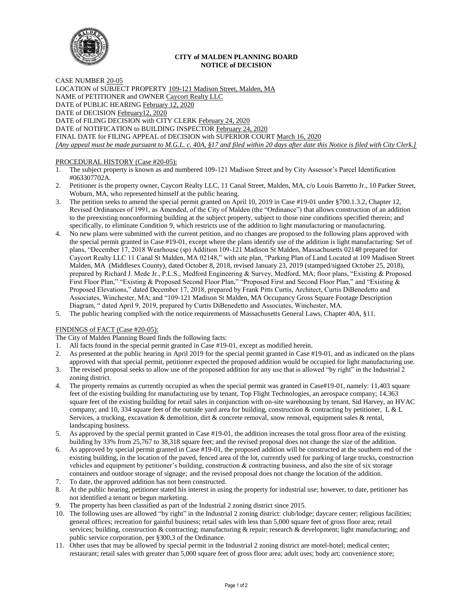

## **CITY of MALDEN PLANNING BOARD NOTICE of DECISION**

CASE NUMBER 20-05 LOCATION of SUBJECT PROPERTY 109-121 Madison Street, Malden, MA NAME of PETITIONER and OWNER Caycort Realty LLC DATE of PUBLIC HEARING February 12, 2020 DATE of DECISION February12, 2020 DATE of FILING DECISION with CITY CLERK February 24, 2020 DATE of NOTIFICATION to BUILDING INSPECTOR February 24, 2020 FINAL DATE for FILING APPEAL of DECISION with SUPERIOR COURT March 16, 2020 *[Any appeal must be made pursuant to M.G.L. c. 40A, §17 and filed within 20 days after date this Notice is filed with City Clerk.]* 

# PROCEDURAL HISTORY (Case #20-05):

- 1. The subject property is known as and numbered 109-121 Madison Street and by City Assessor's Parcel Identification #063307702A.
- 2. Petitioner is the property owner, Caycort Realty LLC, 11 Canal Street, Malden, MA, c/o Louis Barretto Jr., 10 Parker Street, Woburn, MA, who represented himself at the public hearing.
- 3. The petition seeks to amend the special permit granted on April 10, 2019 in Case #19-01 under §700.1.3.2, Chapter 12, Revised Ordinances of 1991, as Amended, of the City of Malden (the "Ordinance") that allows construction of an addition to the preexisting nonconforming building at the subject property, subject to those nine conditions specified therein; and specifically, to eliminate Condition 9, which restricts use of the addition to light manufacturing or manufacturing.
- 4. No new plans were submitted with the current petition, and no changes are proposed to the following plans approved with the special permit granted in Case #19-01, except where the plans identify use of the addition is light manufacturing: Set of plans, "December 17, 2018 Wearhouse (sp) Addition 109-121 Madison St Malden, Massachusetts 02148 prepared for Caycort Realty LLC 11 Canal St Malden, MA 02148," with site plan, "Parking Plan of Land Located at 109 Madison Street Malden, MA (Middlesex County), dated October 8, 2018, revised January 23, 2019 (stamped/signed October 25, 2018), prepared by Richard J. Mede Jr., P.L.S., Medford Engineering & Survey, Medford, MA; floor plans, "Existing & Proposed First Floor Plan," "Existing & Proposed Second Floor Plan," "Proposed First and Second Floor Plan," and "Existing & Proposed Elevations," dated December 17, 2018, prepared by Frank Pitts Curtis, Architect, Curtis DiBenedetto and Associates, Winchester, MA; and "109-121 Madison St Malden, MA Occupancy Gross Square Footage Description Diagram, " dated April 9, 2019, prepared by Curtis DiBenedetto and Associates, Winchester, MA.
- 5. The public hearing complied with the notice requirements of Massachusetts General Laws, Chapter 40A, §11.

### FINDINGS of FACT (Case #20-05):

The City of Malden Planning Board finds the following facts:

- 1. All facts found in the special permit granted in Case #19-01, except as modified herein.
- 2. As presented at the public hearing in April 2019 for the special permit granted in Case #19-01, and as indicated on the plans approved with that special permit, petitioner expected the proposed addition would be occupied for light manufacturing use.
- 3. The revised proposal seeks to allow use of the proposed addition for any use that is allowed "by right" in the Industrial 2 zoning district.
- 4. The property remains as currently occupied as when the special permit was granted in Case#19-01, namely: 11,403 square feet of the existing building for manufacturing use by tenant, Top Flight Technologies, an aerospace company; 14,363 square feet of the existing building for retail sales in conjunction with on-site warehousing by tenant, Sid Harvey, an HVAC company; and 10, 334 square feet of the outside yard area for building, construction & contracting by petitioner, L & L Services, a trucking, excavation & demolition, dirt & concrete removal, snow removal, equipment sales & rental, landscaping business.
- 5. As approved by the special permit granted in Case #19-01, the addition increases the total gross floor area of the existing building by 33% from 25,767 to 38,318 square feet; and the revised proposal does not change the size of the addition.
- 6. As approved by special permit granted in Case #19-01, the proposed addition will be constructed at the southern end of the existing building, in the location of the paved, fenced area of the lot, currently used for parking of large trucks, construction vehicles and equipment by petitioner's building, construction  $\&$  contracting business, and also the site of six storage containers and outdoor storage of signage; and the revised proposal does not change the location of the addition.
- 7. To date, the approved addition has not been constructed.
- 8. At the public hearing, petitioner stated his interest in using the property for industrial use; however, to date, petitioner has not identified a tenant or begun marketing.
- 9. The property has been classified as part of the Industrial 2 zoning district since 2015.
- 10. The following uses are allowed "by right" in the Industrial 2 zoning district: club/lodge; daycare center; religious facilities; general offices; recreation for gainful business; retail sales with less than 5,000 square feet of gross floor area; retail services; building, construction & contracting; manufacturing & repair; research & development; light manufacturing; and public service corporation, per §300.3 of the Ordinance.
- 11. Other uses that may be allowed by special permit in the Industrial 2 zoning district are motel-hotel; medical center; restaurant; retail sales with greater than 5,000 square feet of gross floor area; adult uses; body art; convenience store;